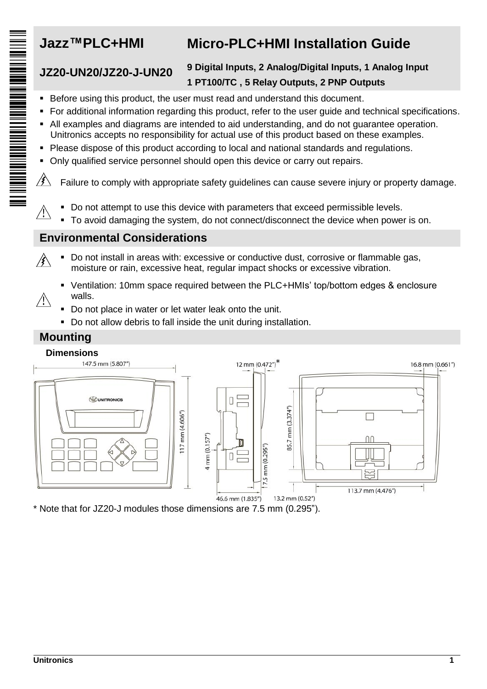$\bigwedge$ 

# **Jazz™PLC+HMI Micro-PLC+HMI Installation Guide**

### **JZ20-UN20/JZ20-J-UN20 9 Digital Inputs, 2 Analog/Digital Inputs, 1 Analog Input 1 PT100/TC , 5 Relay Outputs, 2 PNP Outputs**

- Before using this product, the user must read and understand this document.
- For additional information regarding this product, refer to the user guide and technical specifications.
- All examples and diagrams are intended to aid understanding, and do not guarantee operation. Unitronics accepts no responsibility for actual use of this product based on these examples.
- Please dispose of this product according to local and national standards and regulations.
- Only qualified service personnel should open this device or carry out repairs.

 $\mathscr{B}$ Failure to comply with appropriate safety guidelines can cause severe injury or property damage.

- Do not attempt to use this device with parameters that exceed permissible levels.
- To avoid damaging the system, do not connect/disconnect the device when power is on.

## **Environmental Considerations**

- Do not install in areas with: excessive or conductive dust, corrosive or flammable gas,  $\mathscr{B}$ moisture or rain, excessive heat, regular impact shocks or excessive vibration.
- Ventilation: 10mm space required between the PLC+HMIs' top/bottom edges & enclosure walls. Л
	- Do not place in water or let water leak onto the unit.
	- Do not allow debris to fall inside the unit during installation.

# **Mounting**



\* Note that for JZ20-J modules those dimensions are 7.5 mm (0.295").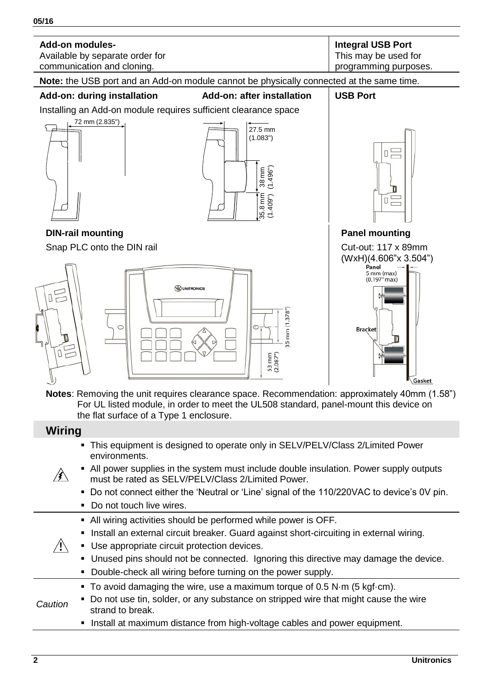

- This equipment is designed to operate only in SELV/PELV/Class 2/Limited Power environments.
- All power supplies in the system must include double insulation. Power supply outputs ∦∖ must be rated as SELV/PELV/Class 2/Limited Power.
	- Do not connect either the 'Neutral or 'Line' signal of the 110/220VAC to device's 0V pin.
	- Do not touch live wires.
	- All wiring activities should be performed while power is OFF.
	- Install an external circuit breaker. Guard against short-circuiting in external wiring.
- $\bigwedge$  Use appropriate circuit protection devices.
	- Unused pins should not be connected. Ignoring this directive may damage the device.
	- Double-check all wiring before turning on the power supply.
	- To avoid damaging the wire, use a maximum torque of 0.5 N·m (5 kgf·cm).
- *Caution* Do not use tin, solder, or any substance on stripped wire that might cause the wire strand to break.
	- Install at maximum distance from high-voltage cables and power equipment.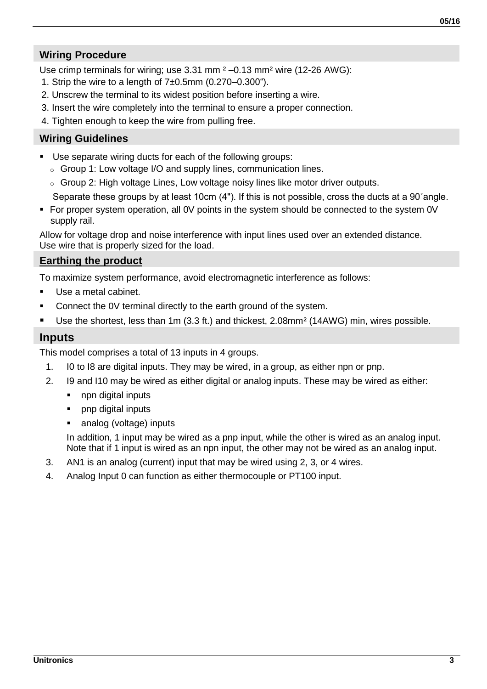#### **Wiring Procedure**

Use crimp terminals for wiring; use 3.31 mm  $2 - 0.13$  mm<sup>2</sup> wire (12-26 AWG):

- 1. Strip the wire to a length of  $7±0.5$ mm  $(0.270-0.300)$ .
- 2. Unscrew the terminal to its widest position before inserting a wire.
- 3. Insert the wire completely into the terminal to ensure a proper connection.
- 4. Tighten enough to keep the wire from pulling free.

#### **Wiring Guidelines**

- Use separate wiring ducts for each of the following groups:
	- o Group 1: Low voltage I/O and supply lines, communication lines.
	- o Group 2: High voltage Lines, Low voltage noisy lines like motor driver outputs.

Separate these groups by at least 10cm (4"). If this is not possible, cross the ducts at a 90˚angle.

 For proper system operation, all 0V points in the system should be connected to the system 0V supply rail.

Allow for voltage drop and noise interference with input lines used over an extended distance. Use wire that is properly sized for the load.

#### **Earthing the product**

To maximize system performance, avoid electromagnetic interference as follows:

- Use a metal cabinet.
- Connect the 0V terminal directly to the earth ground of the system.
- Use the shortest, less than 1m (3.3 ft.) and thickest, 2.08mm<sup>2</sup> (14AWG) min, wires possible.

#### **Inputs**

This model comprises a total of 13 inputs in 4 groups.

- 1. I0 to I8 are digital inputs. They may be wired, in a group, as either npn or pnp.
- 2. I9 and I10 may be wired as either digital or analog inputs. These may be wired as either:
	- npn digital inputs
	- pnp digital inputs
	- analog (voltage) inputs

In addition, 1 input may be wired as a pnp input, while the other is wired as an analog input. Note that if 1 input is wired as an npn input, the other may not be wired as an analog input.

- 3. AN1 is an analog (current) input that may be wired using 2, 3, or 4 wires.
- 4. Analog Input 0 can function as either thermocouple or PT100 input.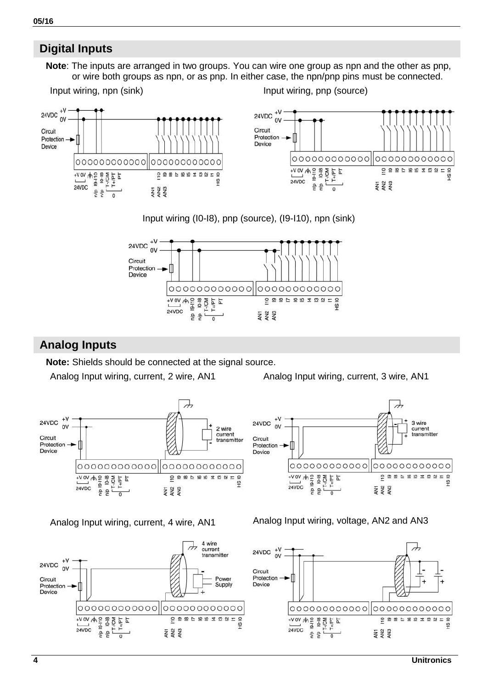

**ESS** 



# **Digital Inputs**

**05/16**

24VDC  $+\frac{V}{2}$ 

Protection -

Circuit

Device

**Note**: The inputs are arranged in two groups. You can wire one group as npn and the other as pnp, or wire both groups as npn, or as pnp. In either case, the npn/pnp pins must be connected.

000000000000

 $\begin{array}{r} \sqrt{100} \\ \hline 24000 \\ 0 \\ \hline 0 \\ 0 \\ \hline 0 \\ 0 \\ \hline 0 \\ 0 \\ \hline 0 \\ 0 \\ \hline 1 \\ 0 \\ \hline 1 \\ 0 \\ \hline 1 \\ 0 \\ \hline 1 \\ 0 \\ \hline 1 \\ 0 \\ \hline 2 \\ 0 \\ \hline 1 \\ 0 \\ \hline 2 \\ 0 \\ \hline 1 \\ 0 \\ \hline 2 \\ 0 \\ \hline 3 \\ 0 \\ \hline 4 \\ 0 \\ \hline 5 \\ 0 \\ \hline 6 \\ 0 \\ \hline 7 \\ 0 \\ \hline 8 \\ 0 \\ \hline 9 \\ 0 \\ \hline$ 

g)  $\overline{\phantom{a}}$ 



#### Input wiring (I0-I8), pnp (source), (I9-I10), npn (sink)

 $+V$ 

 $\sim$ 

24VDC

Circuit

Device

Protection -

2 wire

current

A wire  $\overline{a}$ current

transmitter

Powe

Sunnly

 $\frac{q}{4}$ 

transmitter

 $\overline{a}$ 



### **Analog Inputs**

 $+V$ 

 $\sim$ 

 $+V$ 24VDC  $\alpha$ 

Circuit

Protection Device

 $+V$  0V  $+Q$   $=$   $=$   $+Q$ 

 $\overline{d}$ 24VDC

 $\frac{1}{2}$  $\overline{a}$ 

MOV-

Laut-1  $\frac{1}{2}$ 

000000000000

 $\overline{ }$ 

上

 $+ \frac{1}{2}$   $+ \frac{1}{2}$   $+ \frac{1}{2}$   $+ \frac{1}{2}$   $+ \frac{1}{2}$   $+ \frac{1}{2}$   $+ \frac{1}{2}$   $+ \frac{1}{2}$   $+ \frac{1}{2}$   $+ \frac{1}{2}$   $+ \frac{1}{2}$   $+ \frac{1}{2}$   $+ \frac{1}{2}$   $+ \frac{1}{2}$   $+ \frac{1}{2}$   $+ \frac{1}{2}$   $+ \frac{1}{2}$   $+ \frac{1}{2}$   $+ \frac{1}{2}$   $+ \frac{1}{2}$ 

 $\frac{1}{2}$ 

 $24VDC$ 

24VDC

Circuit

Device

Protection  $\rightarrow$ 

**Note:** Shields should be connected at the signal source.

000000000000 000000000000

 $\overline{10}$ 

 $\frac{1}{2}$  $\frac{1}{2}$  $\frac{1}{2}$ 

 $\frac{1}{2}$  $\frac{1}{2}$  $\frac{1}{2}$ 

J

Analog Input wiring, current, 2 wire, AN1 Analog Input wiring, current, 3 wire, AN1

J

3 wire

**pastes and proper** 

 $\frac{1}{9}$ 

current

transmitter



 $|000000000000|0000000000000$ 

ANT<br>AN2<br>AN3



ħ

 $24\sqrt{DC}$   $\frac{1}{2}$   $\frac{1}{2}$   $\frac{1}{2}$   $\frac{1}{2}$   $\frac{1}{2}$   $\frac{1}{2}$   $\frac{1}{2}$   $\frac{1}{2}$   $\frac{1}{2}$   $\frac{1}{2}$   $\frac{1}{2}$   $\frac{1}{2}$   $\frac{1}{2}$   $\frac{1}{2}$   $\frac{1}{2}$   $\frac{1}{2}$   $\frac{1}{2}$   $\frac{1}{2}$   $\frac{1}{2}$   $\frac{1}{2}$ 

 $\frac{1}{2}$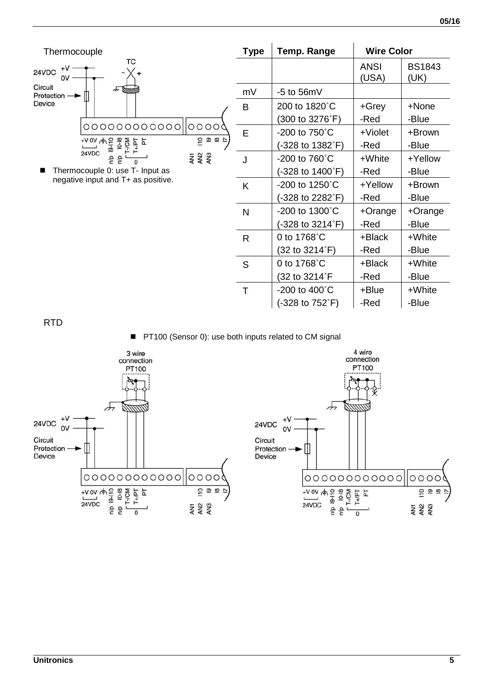BS1843 (UK)



| mV | $-5$ to 56mV                |            |            |
|----|-----------------------------|------------|------------|
| в  | 200 to 1820°C               | $+Grey$    | +None      |
|    | (300 to 3276°F)             | -Red       | -Blue      |
| F  | $-200$ to 750 $^{\circ}$ C  | $+$ Violet | +Brown     |
|    | (-328 to 1382°F)            | -Red       | -Blue      |
| J  | $-200$ to 760 $^{\circ}$ C  | +White     | +Yellow    |
|    | (-328 to 1400°F)            | -Red       | -Blue      |
| κ  | $-200$ to 1250 $^{\circ}$ C | +Yellow    | +Brown     |
|    | (-328 to 2282°F)            | -Red       | -Blue      |
| N  | $-200$ to 1300 $^{\circ}$ C | +Orange    | $+O$ range |
|    | (-328 to 3214°F)            | -Red       | -Blue      |
| R  | 0 to 1768°C                 | +Black     | +White     |
|    | (32 to 3214°F)              | -Red       | -Blue      |
| S  | 0 to 1768°C                 | +Black     | +White     |
|    | (32 to 3214°F               | -Red       | -Blue      |
| т  | $-200$ to $400^{\circ}$ C   | +Blue      | +White     |
|    | (-328 to 752°F)             | -Red       | -Blue      |
|    |                             |            |            |

ANSI (USA)

RTD

■ PT100 (Sensor 0): use both inputs related to CM signal